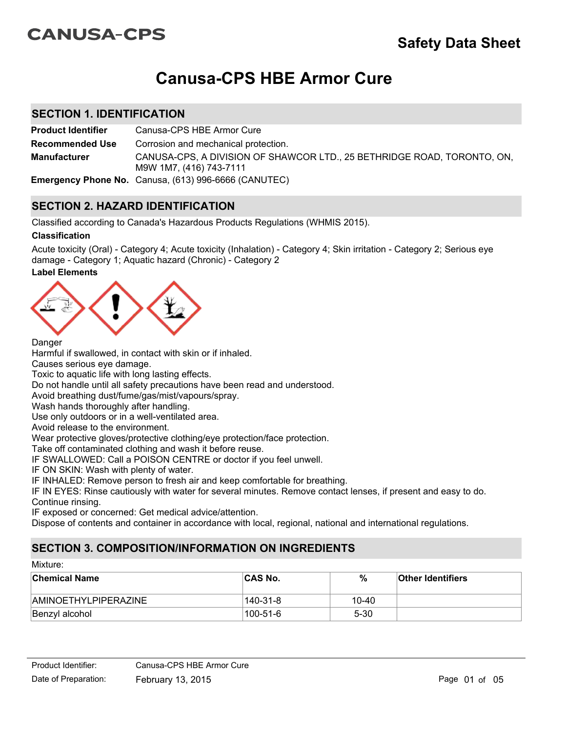# **CANUSA-CPS**

# **Canusa-CPS HBE Armor Cure**

## **SECTION 1. IDENTIFICATION**

**Product Identifier** Canusa-CPS HBE Armor Cure CANUSA-CPS, A DIVISION OF SHAWCOR LTD., 25 BETHRIDGE ROAD, TORONTO, ON, M9W 1M7, (416) 743-7111 **Recommended Use Emergency Phone No.** Canusa, (613) 996-6666 (CANUTEC) **Manufacturer** Corrosion and mechanical protection.

## **SECTION 2. HAZARD IDENTIFICATION**

Classified according to Canada's Hazardous Products Regulations (WHMIS 2015).

#### **Classification**

**Label Elements** Acute toxicity (Oral) - Category 4; Acute toxicity (Inhalation) - Category 4; Skin irritation - Category 2; Serious eye damage - Category 1; Aquatic hazard (Chronic) - Category 2



#### **Danger**

Harmful if swallowed, in contact with skin or if inhaled.

Causes serious eye damage.

Toxic to aquatic life with long lasting effects.

Do not handle until all safety precautions have been read and understood.

Avoid breathing dust/fume/gas/mist/vapours/spray.

Wash hands thoroughly after handling.

Use only outdoors or in a well-ventilated area.

Avoid release to the environment.

Wear protective gloves/protective clothing/eye protection/face protection.

Take off contaminated clothing and wash it before reuse.

IF SWALLOWED: Call a POISON CENTRE or doctor if you feel unwell.

IF ON SKIN: Wash with plenty of water.

IF INHALED: Remove person to fresh air and keep comfortable for breathing.

IF IN EYES: Rinse cautiously with water for several minutes. Remove contact lenses, if present and easy to do. Continue rinsing.

IF exposed or concerned: Get medical advice/attention.

Dispose of contents and container in accordance with local, regional, national and international regulations.

## **SECTION 3. COMPOSITION/INFORMATION ON INGREDIENTS**

#### Mixture:

| <b>Chemical Name</b>        | ∣CAS No.  | %         | <b>Other Identifiers</b> |
|-----------------------------|-----------|-----------|--------------------------|
| <b>AMINOETHYLPIPERAZINE</b> | 140-31-8  | $10 - 40$ |                          |
| Benzyl alcohol              | ⊺100-51-6 | $5 - 30$  |                          |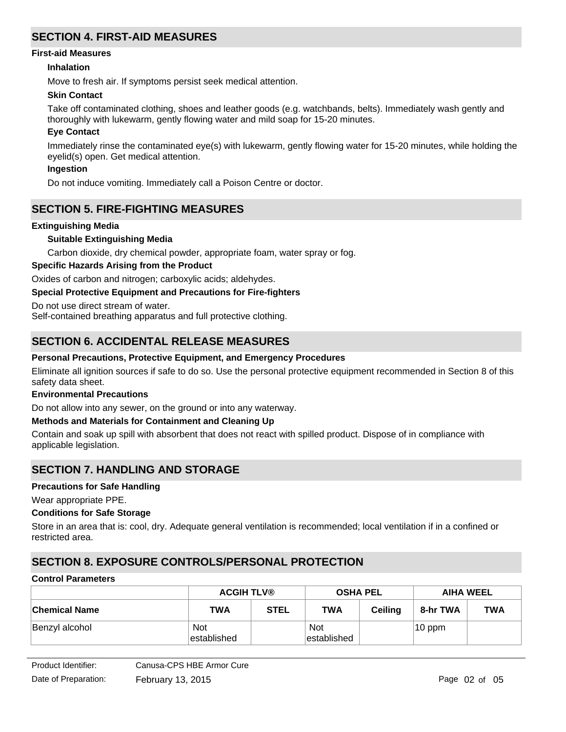## **SECTION 4. FIRST-AID MEASURES**

#### **First-aid Measures**

#### **Inhalation**

Move to fresh air. If symptoms persist seek medical attention.

#### **Skin Contact**

Take off contaminated clothing, shoes and leather goods (e.g. watchbands, belts). Immediately wash gently and thoroughly with lukewarm, gently flowing water and mild soap for 15-20 minutes.

#### **Eye Contact**

Immediately rinse the contaminated eye(s) with lukewarm, gently flowing water for 15-20 minutes, while holding the eyelid(s) open. Get medical attention.

#### **Ingestion**

Do not induce vomiting. Immediately call a Poison Centre or doctor.

### **SECTION 5. FIRE-FIGHTING MEASURES**

#### **Extinguishing Media**

#### **Suitable Extinguishing Media**

Carbon dioxide, dry chemical powder, appropriate foam, water spray or fog.

#### **Specific Hazards Arising from the Product**

Oxides of carbon and nitrogen; carboxylic acids; aldehydes.

#### **Special Protective Equipment and Precautions for Fire-fighters**

Do not use direct stream of water.

Self-contained breathing apparatus and full protective clothing.

## **SECTION 6. ACCIDENTAL RELEASE MEASURES**

#### **Personal Precautions, Protective Equipment, and Emergency Procedures**

Eliminate all ignition sources if safe to do so. Use the personal protective equipment recommended in Section 8 of this safety data sheet.

#### **Environmental Precautions**

Do not allow into any sewer, on the ground or into any waterway.

#### **Methods and Materials for Containment and Cleaning Up**

Contain and soak up spill with absorbent that does not react with spilled product. Dispose of in compliance with applicable legislation.

## **SECTION 7. HANDLING AND STORAGE**

#### **Precautions for Safe Handling**

Wear appropriate PPE.

#### **Conditions for Safe Storage**

Store in an area that is: cool, dry. Adequate general ventilation is recommended; local ventilation if in a confined or restricted area.

## **SECTION 8. EXPOSURE CONTROLS/PERSONAL PROTECTION**

#### **Control Parameters**

|                      | <b>ACGIH TLV®</b>         |             | <b>OSHA PEL</b>           |                | <b>AIHA WEEL</b> |            |
|----------------------|---------------------------|-------------|---------------------------|----------------|------------------|------------|
| <b>Chemical Name</b> | <b>TWA</b>                | <b>STEL</b> | <b>TWA</b>                | <b>Ceiling</b> | 8-hr TWA         | <b>TWA</b> |
| Benzyl alcohol       | <b>Not</b><br>established |             | <b>Not</b><br>established |                | $10$ ppm         |            |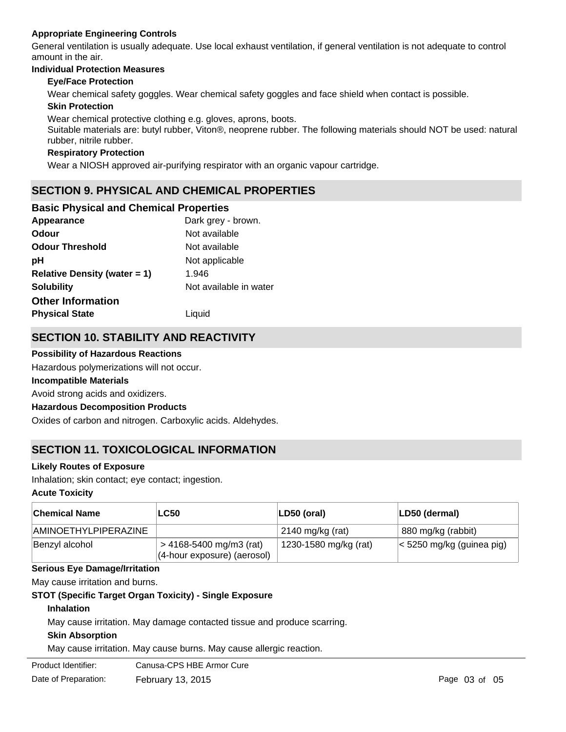#### **Appropriate Engineering Controls**

General ventilation is usually adequate. Use local exhaust ventilation, if general ventilation is not adequate to control amount in the air.

## **Individual Protection Measures**

#### **Eye/Face Protection**

Wear chemical safety goggles. Wear chemical safety goggles and face shield when contact is possible.

#### **Skin Protection**

Wear chemical protective clothing e.g. gloves, aprons, boots.

Suitable materials are: butyl rubber, Viton®, neoprene rubber. The following materials should NOT be used: natural rubber, nitrile rubber.

#### **Respiratory Protection**

Wear a NIOSH approved air-purifying respirator with an organic vapour cartridge.

## **SECTION 9. PHYSICAL AND CHEMICAL PROPERTIES**

#### **Basic Physical and Chemical Properties**

| Appearance                      | Dark grey - brown.     |
|---------------------------------|------------------------|
| <b>Odour</b>                    | Not available          |
| <b>Odour Threshold</b>          | Not available          |
| рH                              | Not applicable         |
| Relative Density (water $= 1$ ) | 1.946                  |
| <b>Solubility</b>               | Not available in water |
| <b>Other Information</b>        |                        |
| <b>Physical State</b>           | Liquid                 |

## **SECTION 10. STABILITY AND REACTIVITY**

#### **Possibility of Hazardous Reactions**

Hazardous polymerizations will not occur.

#### **Incompatible Materials**

Avoid strong acids and oxidizers.

#### **Hazardous Decomposition Products**

Oxides of carbon and nitrogen. Carboxylic acids. Aldehydes.

## **SECTION 11. TOXICOLOGICAL INFORMATION**

#### **Likely Routes of Exposure**

Inhalation; skin contact; eye contact; ingestion.

#### **Acute Toxicity**

| <b>Chemical Name</b> | <b>LC50</b>                                                 | LD50 (oral)           | LD50 (dermal)                     |
|----------------------|-------------------------------------------------------------|-----------------------|-----------------------------------|
| AMINOETHYLPIPERAZINE |                                                             | $2140$ mg/kg (rat)    | 880 mg/kg (rabbit)                |
| Benzyl alcohol       | $>$ 4168-5400 mg/m3 (rat)<br>$(4$ -hour exposure) (aerosol) | 1230-1580 mg/kg (rat) | $\vert$ < 5250 mg/kg (guinea pig) |

#### **Serious Eye Damage/Irritation**

May cause irritation and burns.

#### **STOT (Specific Target Organ Toxicity) - Single Exposure**

#### **Inhalation**

May cause irritation. May damage contacted tissue and produce scarring.

#### **Skin Absorption**

May cause irritation. May cause burns. May cause allergic reaction.

Product Identifier: Canusa-CPS HBE Armor Cure

Date of Preparation: February 13, 2015 **Page 13** and 2015 Page 03 of 05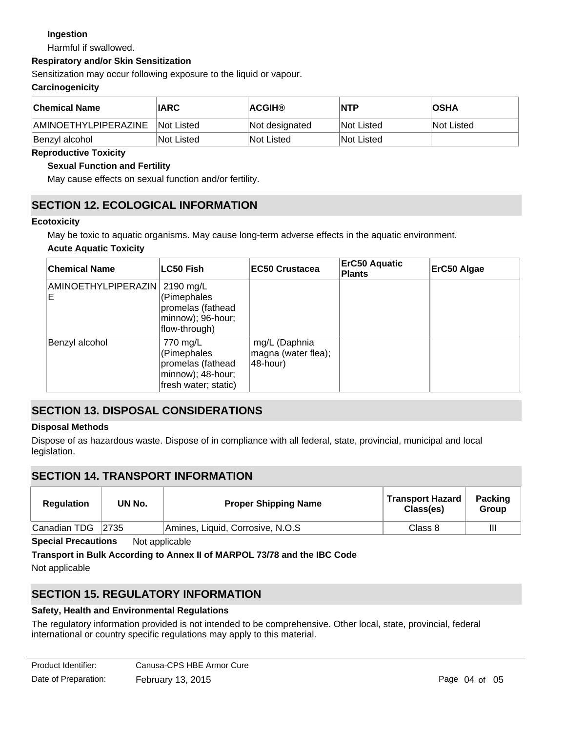### **Ingestion**

Harmful if swallowed.

#### **Respiratory and/or Skin Sensitization**

Sensitization may occur following exposure to the liquid or vapour.

#### **Carcinogenicity**

| <b>Chemical Name</b>        | <b>IARC</b> | <b>ACGIH®</b>  | <b>NTP</b>        | ∣OSHA      |
|-----------------------------|-------------|----------------|-------------------|------------|
| <b>AMINOETHYLPIPERAZINE</b> | Not Listed  | Not designated | <b>Not Listed</b> | Not Listed |
| Benzyl alcohol              | Not Listed  | Not Listed     | INot Listed       |            |

#### **Reproductive Toxicity**

#### **Sexual Function and Fertility**

May cause effects on sexual function and/or fertility.

## **SECTION 12. ECOLOGICAL INFORMATION**

#### **Ecotoxicity**

May be toxic to aquatic organisms. May cause long-term adverse effects in the aquatic environment.

#### **Acute Aquatic Toxicity**

| <b>Chemical Name</b>     | LC50 Fish                                                                                 | <b>EC50 Crustacea</b>                            | <b>ErC50 Aquatic</b><br><b>Plants</b> | ErC50 Algae |
|--------------------------|-------------------------------------------------------------------------------------------|--------------------------------------------------|---------------------------------------|-------------|
| AMINOETHYLPIPERAZIN<br>E | 2190 mg/L<br>(Pimephales<br>promelas (fathead<br>minnow); 96-hour;<br>flow-through)       |                                                  |                                       |             |
| Benzyl alcohol           | 770 mg/L<br>(Pimephales<br>promelas (fathead<br>minnow); 48-hour;<br>fresh water; static) | mg/L (Daphnia<br>magna (water flea);<br>48-hour) |                                       |             |

## **SECTION 13. DISPOSAL CONSIDERATIONS**

#### **Disposal Methods**

Dispose of as hazardous waste. Dispose of in compliance with all federal, state, provincial, municipal and local legislation.

## **SECTION 14. TRANSPORT INFORMATION**

| <b>Regulation</b> | UN No. | <b>Proper Shipping Name</b>      | <b>Transport Hazard</b><br>Class(es) | <b>Packing</b><br><b>Group</b> |
|-------------------|--------|----------------------------------|--------------------------------------|--------------------------------|
| Canadian TDG      | 2735   | Amines, Liquid, Corrosive, N.O.S | Class 8                              | Ш                              |

**Special Precautions** Not applicable

**Transport in Bulk According to Annex II of MARPOL 73/78 and the IBC Code**

Not applicable

## **SECTION 15. REGULATORY INFORMATION**

#### **Safety, Health and Environmental Regulations**

The regulatory information provided is not intended to be comprehensive. Other local, state, provincial, federal international or country specific regulations may apply to this material.